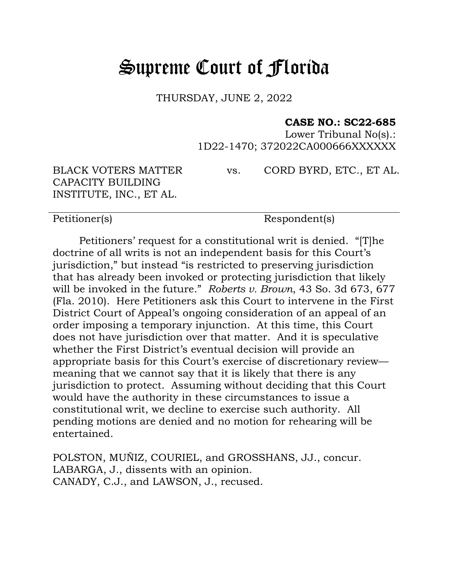## Supreme Court of Florida

THURSDAY, JUNE 2, 2022

## **CASE NO.: SC22-685**

Lower Tribunal No(s).: 1D22-1470; 372022CA000666XXXXXX

BLACK VOTERS MATTER CAPACITY BUILDING INSTITUTE, INC., ET AL.

vs. CORD BYRD, ETC., ET AL.

Petitioner(s) Respondent(s)

Petitioners' request for a constitutional writ is denied. "[T]he doctrine of all writs is not an independent basis for this Court's jurisdiction," but instead "is restricted to preserving jurisdiction that has already been invoked or protecting jurisdiction that likely will be invoked in the future." *Roberts v. Brown*, 43 So. 3d 673, 677 (Fla. 2010). Here Petitioners ask this Court to intervene in the First District Court of Appeal's ongoing consideration of an appeal of an order imposing a temporary injunction. At this time, this Court does not have jurisdiction over that matter. And it is speculative whether the First District's eventual decision will provide an appropriate basis for this Court's exercise of discretionary review meaning that we cannot say that it is likely that there is any jurisdiction to protect. Assuming without deciding that this Court would have the authority in these circumstances to issue a constitutional writ, we decline to exercise such authority. All pending motions are denied and no motion for rehearing will be entertained.

POLSTON, MUÑIZ, COURIEL, and GROSSHANS, JJ., concur. LABARGA, J., dissents with an opinion. CANADY, C.J., and LAWSON, J., recused.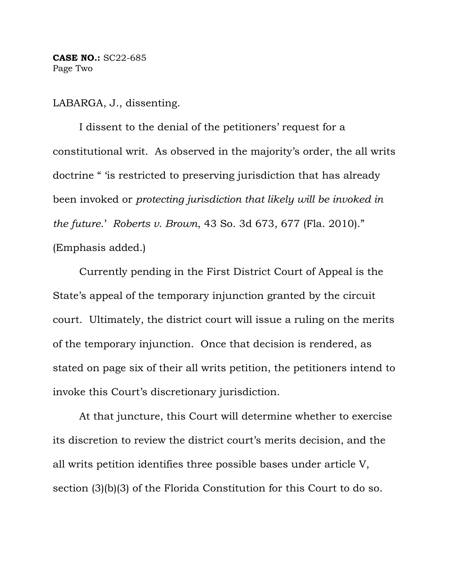**CASE NO.:** SC22-685 Page Two

LABARGA, J., dissenting.

I dissent to the denial of the petitioners' request for a constitutional writ. As observed in the majority's order, the all writs doctrine " 'is restricted to preserving jurisdiction that has already been invoked or *protecting jurisdiction that likely will be invoked in the future*.' *Roberts v. Brown*, 43 So. 3d 673, 677 (Fla. 2010)." (Emphasis added.)

Currently pending in the First District Court of Appeal is the State's appeal of the temporary injunction granted by the circuit court. Ultimately, the district court will issue a ruling on the merits of the temporary injunction. Once that decision is rendered, as stated on page six of their all writs petition, the petitioners intend to invoke this Court's discretionary jurisdiction.

At that juncture, this Court will determine whether to exercise its discretion to review the district court's merits decision, and the all writs petition identifies three possible bases under article V, section (3)(b)(3) of the Florida Constitution for this Court to do so.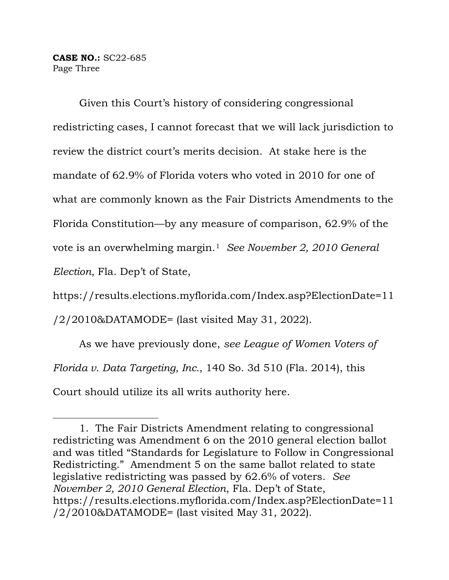**CASE NO.:** SC22-685 Page Three

Given this Court's history of considering congressional redistricting cases, I cannot forecast that we will lack jurisdiction to review the district court's merits decision. At stake here is the mandate of 62.9% of Florida voters who voted in 2010 for one of what are commonly known as the Fair Districts Amendments to the Florida Constitution—by any measure of comparison, 62.9% of the vote is an overwhelming margin.[1](#page-2-0) *See November 2, 2010 General Election*, Fla. Dep't of State,

https://results.elections.myflorida.com/Index.asp?ElectionDate=11 /2/2010&DATAMODE= (last visited May 31, 2022).

As we have previously done, *see League of Women Voters of Florida v. Data Targeting, Inc.*, 140 So. 3d 510 (Fla. 2014), this Court should utilize its all writs authority here.

<span id="page-2-0"></span><sup>1.</sup> The Fair Districts Amendment relating to congressional redistricting was Amendment 6 on the 2010 general election ballot and was titled "Standards for Legislature to Follow in Congressional Redistricting." Amendment 5 on the same ballot related to state legislative redistricting was passed by 62.6% of voters. *See November 2, 2010 General Election*, Fla. Dep't of State, https://results.elections.myflorida.com/Index.asp?ElectionDate=11 /2/2010&DATAMODE= (last visited May 31, 2022).